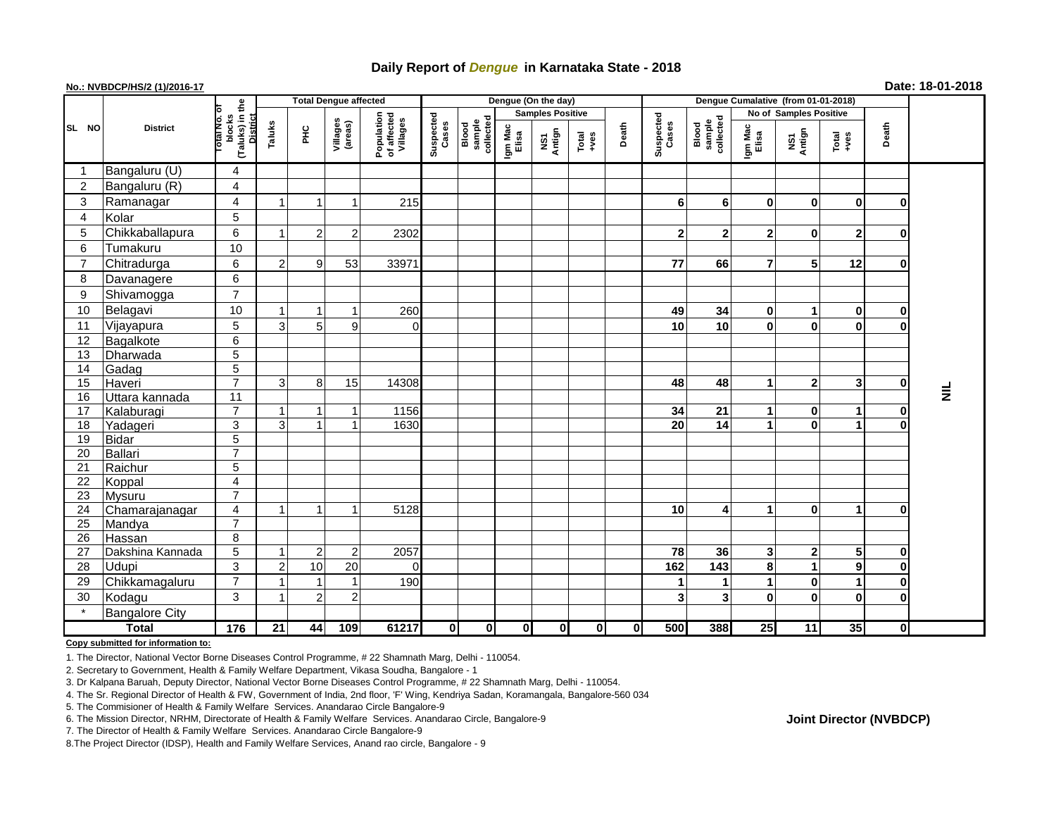# **Daily Report of** *Dengue* **in Karnataka State - 2018**

## **No.: NVBDCP/HS/2 (1)/2016-17 Date: 18-01-2018**

|                | <b>District</b>       |                                                   | <b>Total Dengue affected</b> |                      |                         |                                       |                    |                              |                         | Dengue (On the day) |                                                                      |             |                    |                              |                        |               |                                                              |             |           |
|----------------|-----------------------|---------------------------------------------------|------------------------------|----------------------|-------------------------|---------------------------------------|--------------------|------------------------------|-------------------------|---------------------|----------------------------------------------------------------------|-------------|--------------------|------------------------------|------------------------|---------------|--------------------------------------------------------------|-------------|-----------|
|                |                       |                                                   |                              |                      |                         |                                       |                    |                              | <b>Samples Positive</b> |                     |                                                                      |             |                    |                              | No of Samples Positive |               |                                                              |             |           |
| SL NO          |                       | (Taluks) in the<br>blocks<br>District<br>otal No. | Taluks                       | 노<br>도               | Villages<br>(areas)     | Population<br>of affected<br>Villages | Suspected<br>Cases | sample<br>collected<br>Blood | Igm Mac<br>Elisa        | NS1<br>Antign       | $\begin{array}{c}\n\text{Total} \\ \text{1} & \text{1}\n\end{array}$ | Death       | Suspected<br>Cases | sample<br>collected<br>Blood | Igm Mac<br>Elisa       | NS1<br>Antign | $\begin{array}{c}\n\text{Total} \\ \text{Area}\n\end{array}$ | Death       |           |
| -1             | Bangaluru (U)         | $\overline{\mathbf{4}}$                           |                              |                      |                         |                                       |                    |                              |                         |                     |                                                                      |             |                    |                              |                        |               |                                                              |             |           |
| $\overline{2}$ | Bangaluru (R)         | $\overline{\mathbf{4}}$                           |                              |                      |                         |                                       |                    |                              |                         |                     |                                                                      |             |                    |                              |                        |               |                                                              |             |           |
| 3              | Ramanagar             | $\overline{\mathbf{4}}$                           |                              |                      | -1                      | 215                                   |                    |                              |                         |                     |                                                                      |             | 6                  | 6                            | $\mathbf{0}$           | 0             | $\mathbf 0$                                                  | $\bf{0}$    |           |
| $\overline{4}$ | Kolar                 | 5                                                 |                              |                      |                         |                                       |                    |                              |                         |                     |                                                                      |             |                    |                              |                        |               |                                                              |             |           |
| 5              | Chikkaballapura       | 6                                                 |                              | $\overline{2}$       | $\overline{2}$          | 2302                                  |                    |                              |                         |                     |                                                                      |             | $\mathbf{2}$       | $\overline{2}$               | $\overline{2}$         | 0             | $\overline{2}$                                               | 0           |           |
| 6              | Tumakuru              | 10                                                |                              |                      |                         |                                       |                    |                              |                         |                     |                                                                      |             |                    |                              |                        |               |                                                              |             |           |
| $\overline{7}$ | Chitradurga           | 6                                                 | $\overline{2}$               | 9 <sub>l</sub>       | 53                      | 33971                                 |                    |                              |                         |                     |                                                                      |             | 77                 | 66                           | $\overline{7}$         | 5             | 12                                                           | $\bf{0}$    |           |
| 8              | Davanagere            | 6                                                 |                              |                      |                         |                                       |                    |                              |                         |                     |                                                                      |             |                    |                              |                        |               |                                                              |             |           |
| 9              | Shivamogga            | $\overline{7}$                                    |                              |                      |                         |                                       |                    |                              |                         |                     |                                                                      |             |                    |                              |                        |               |                                                              |             |           |
| 10             | Belagavi              | 10                                                |                              |                      |                         | 260                                   |                    |                              |                         |                     |                                                                      |             | 49                 | 34                           | $\mathbf{0}$           | 1             | $\mathbf 0$                                                  | 0           |           |
| 11             | Vijayapura            | 5                                                 | 3                            | 5                    | 9                       | $\Omega$                              |                    |                              |                         |                     |                                                                      |             | 10                 | 10                           | $\bf{0}$               | $\bf{0}$      | $\mathbf 0$                                                  | $\bf{0}$    |           |
| 12             | Bagalkote             | $\overline{6}$                                    |                              |                      |                         |                                       |                    |                              |                         |                     |                                                                      |             |                    |                              |                        |               |                                                              |             |           |
| 13             | Dharwada              | $\overline{5}$                                    |                              |                      |                         |                                       |                    |                              |                         |                     |                                                                      |             |                    |                              |                        |               |                                                              |             |           |
| 14             | Gadag                 | $\overline{5}$                                    |                              |                      |                         |                                       |                    |                              |                         |                     |                                                                      |             |                    |                              |                        |               |                                                              |             |           |
| 15             | Haveri                | $\overline{7}$                                    | 3                            | 8 <sup>1</sup>       | 15                      | 14308                                 |                    |                              |                         |                     |                                                                      |             | 48                 | 48                           | 1                      | $\mathbf 2$   | 3                                                            | $\mathbf 0$ |           |
| 16             | Uttara kannada        | $\overline{11}$                                   |                              |                      |                         |                                       |                    |                              |                         |                     |                                                                      |             |                    |                              |                        |               |                                                              |             | $\bar{z}$ |
| 17             | Kalaburagi            | $\overline{7}$                                    |                              | 1                    | -1                      | 1156                                  |                    |                              |                         |                     |                                                                      |             | 34                 | 21                           |                        | 0             | 1                                                            | 0           |           |
| 18             | Yadageri              | 3                                                 | 3                            | $\blacktriangleleft$ | $\overline{\mathbf{1}}$ | 1630                                  |                    |                              |                         |                     |                                                                      |             | 20                 | 14                           |                        | $\bf{0}$      | 1                                                            | $\bf{0}$    |           |
| 19             | Bidar                 | $\overline{5}$                                    |                              |                      |                         |                                       |                    |                              |                         |                     |                                                                      |             |                    |                              |                        |               |                                                              |             |           |
| 20             | Ballari               | $\overline{7}$                                    |                              |                      |                         |                                       |                    |                              |                         |                     |                                                                      |             |                    |                              |                        |               |                                                              |             |           |
| 21             | Raichur               | $\overline{5}$                                    |                              |                      |                         |                                       |                    |                              |                         |                     |                                                                      |             |                    |                              |                        |               |                                                              |             |           |
| 22             | Koppal                | $\overline{\mathbf{4}}$                           |                              |                      |                         |                                       |                    |                              |                         |                     |                                                                      |             |                    |                              |                        |               |                                                              |             |           |
| 23             | <b>Mysuru</b>         | $\overline{7}$                                    |                              |                      |                         |                                       |                    |                              |                         |                     |                                                                      |             |                    |                              |                        |               |                                                              |             |           |
| 24             | Chamarajanagar        | $\overline{\mathbf{4}}$                           |                              | $\mathbf 1$          | $\overline{1}$          | 5128                                  |                    |                              |                         |                     |                                                                      |             | 10                 | 4                            | 1                      | 0             | 1                                                            | $\bf{0}$    |           |
| 25             | Mandya                | $\overline{7}$                                    |                              |                      |                         |                                       |                    |                              |                         |                     |                                                                      |             |                    |                              |                        |               |                                                              |             |           |
| 26             | Hassan                | 8                                                 |                              |                      |                         |                                       |                    |                              |                         |                     |                                                                      |             |                    |                              |                        |               |                                                              |             |           |
| 27             | Dakshina Kannada      | $\overline{5}$                                    |                              | $\overline{2}$       | $\overline{2}$          | 2057                                  |                    |                              |                         |                     |                                                                      |             | 78                 | 36                           | 3 <sup>1</sup>         | $\mathbf 2$   | 5                                                            | 0           |           |
| 28             | Udupi                 | 3                                                 |                              | 10                   | 20                      | $\Omega$                              |                    |                              |                         |                     |                                                                      |             | 162                | 143                          | 8                      | 1             | $\mathbf{9}$                                                 | $\mathbf 0$ |           |
| 29             | Chikkamagaluru        | $\overline{7}$                                    |                              |                      | $\overline{1}$          | 190                                   |                    |                              |                         |                     |                                                                      |             | 1                  | 1                            |                        | 0             | 1                                                            | $\pmb{0}$   |           |
| 30             | Kodagu                | $\overline{3}$                                    |                              | $\overline{2}$       | $\overline{c}$          |                                       |                    |                              |                         |                     |                                                                      |             | $\mathbf{3}$       | 3                            | $\mathbf 0$            | $\mathbf 0$   | $\mathbf 0$                                                  | $\mathbf 0$ |           |
|                | <b>Bangalore City</b> |                                                   |                              |                      |                         |                                       |                    |                              |                         |                     |                                                                      |             |                    |                              |                        |               |                                                              |             |           |
| <b>Total</b>   |                       | $\frac{1}{176}$                                   | 21                           | 44                   | 109                     | 61217                                 | $\mathbf{0}$       | 0I                           | 0                       | $\mathbf{0}$        | $\mathbf{0}$                                                         | $\mathbf 0$ | 500                | 388                          | 25                     | 11            | 35                                                           | Οl          |           |

**Copy submitted for information to:**

1. The Director, National Vector Borne Diseases Control Programme, # 22 Shamnath Marg, Delhi - 110054.

2. Secretary to Government, Health & Family Welfare Department, Vikasa Soudha, Bangalore - 1

3. Dr Kalpana Baruah, Deputy Director, National Vector Borne Diseases Control Programme, # 22 Shamnath Marg, Delhi - 110054.

4. The Sr. Regional Director of Health & FW, Government of India, 2nd floor, 'F' Wing, Kendriya Sadan, Koramangala, Bangalore-560 034

5. The Commisioner of Health & Family Welfare Services. Anandarao Circle Bangalore-9

**Joint Director (NVBDCP)**

<sup>6.</sup> The Mission Director, NRHM, Directorate of Health & Family Welfare Services. Anandarao Circle, Bangalore-9

<sup>7.</sup> The Director of Health & Family Welfare Services. Anandarao Circle Bangalore-9

<sup>8.</sup>The Project Director (IDSP), Health and Family Welfare Services, Anand rao circle, Bangalore - 9